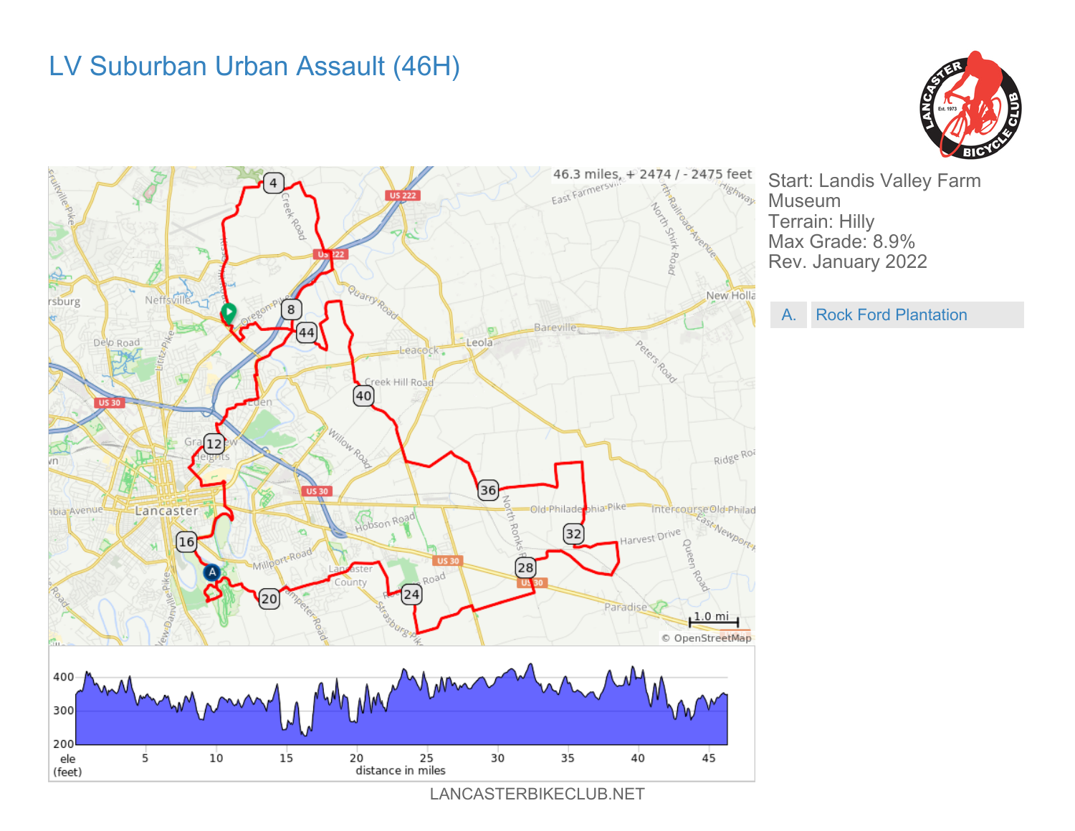## LV Suburban Urban Assault (46H)





LANCASTERBIKECLUB.NET

Start: Landis Valley Farm Museum Terrain: Hilly Max Grade: 8.9% Rev. January 2022

A. Rock Ford Plantation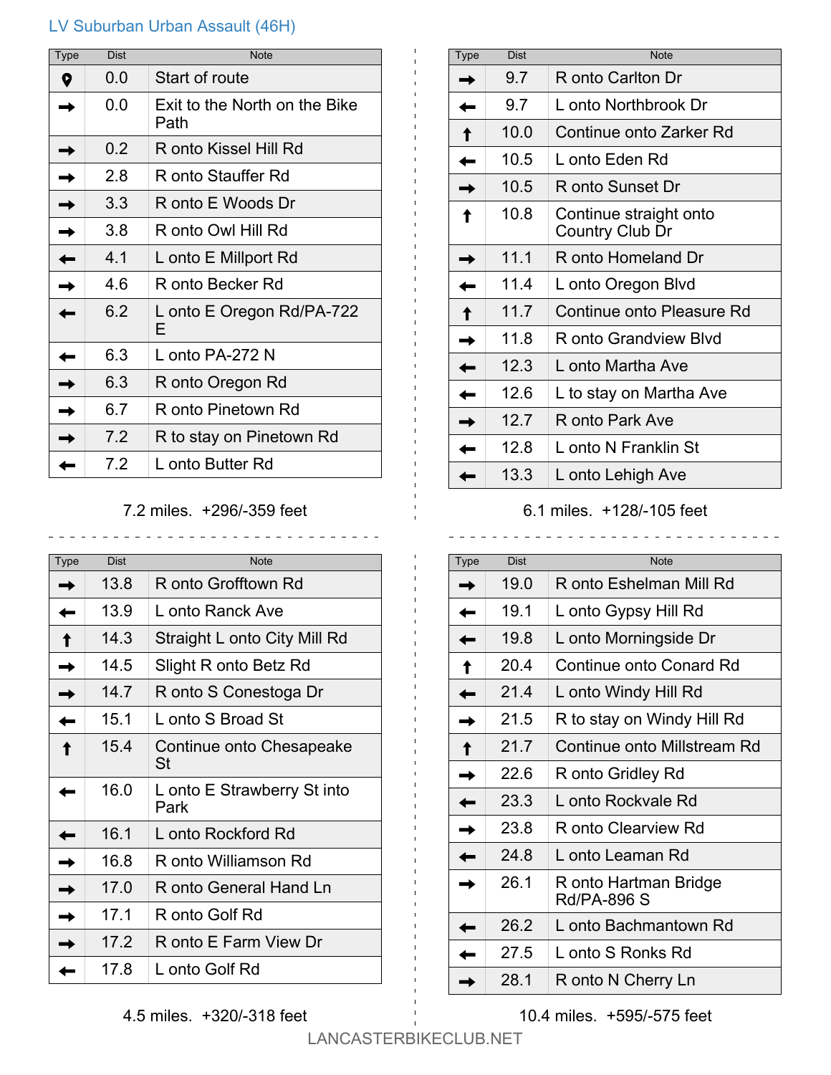## LV Suburban Urban Assault (46H)

| Type | <b>Dist</b> | <b>Note</b>                           |
|------|-------------|---------------------------------------|
| 0    | 0.0         | Start of route                        |
|      | 0.0         | Exit to the North on the Bike<br>Path |
|      | 0.2         | R onto Kissel Hill Rd                 |
|      | 2.8         | R onto Stauffer Rd                    |
|      | 3.3         | R onto E Woods Dr                     |
|      | 3.8         | R onto Owl Hill Rd                    |
|      | 4.1         | L onto E Millport Rd                  |
|      | 4 6         | R onto Becker Rd                      |
|      | 6.2         | L onto E Oregon Rd/PA-722<br>F        |
|      | 6.3         | L onto PA-272 N                       |
|      | 6.3         | R onto Oregon Rd                      |
|      | 6.7         | R onto Pinetown Rd                    |
|      | 7.2         | R to stay on Pinetown Rd              |
|      | 7.2         | L onto Butter Rd                      |

## 7.2 miles. +296/-359 feet

| Type | <b>Dist</b> | <b>Note</b>                         |
|------|-------------|-------------------------------------|
|      | 13.8        | R onto Grofftown Rd                 |
|      | 13.9        | L onto Ranck Ave                    |
|      | 14 3        | Straight L onto City Mill Rd        |
|      | 14.5        | Slight R onto Betz Rd               |
|      | 14.7        | R onto S Conestoga Dr               |
|      | 151         | L onto S Broad St                   |
|      | 15.4        | Continue onto Chesapeake<br>St      |
|      | 16.0        | L onto E Strawberry St into<br>Park |
|      | 16.1        | L onto Rockford Rd                  |
|      | 16.8        | R onto Williamson Rd                |
|      | 17.0        | R onto General Hand Ln              |
|      | 17.1        | R onto Golf Rd                      |
|      | 17.2        | R onto E Farm View Dr               |
|      | 17.8        | L onto Golf Rd                      |

| <b>Type</b> | Dist | <b>Note</b>                               |
|-------------|------|-------------------------------------------|
|             | 9.7  | R onto Carlton Dr                         |
|             | 9.7  | L onto Northbrook Dr                      |
|             | 10.0 | Continue onto Zarker Rd                   |
|             | 10.5 | L onto Eden Rd                            |
|             | 10.5 | R onto Sunset Dr                          |
|             | 10.8 | Continue straight onto<br>Country Club Dr |
|             | 11.1 | R onto Homeland Dr                        |
|             | 11.4 | L onto Oregon Blvd                        |
|             | 11.7 | Continue onto Pleasure Rd                 |
|             | 11.8 | R onto Grandview Blvd                     |
|             | 12.3 | L onto Martha Ave                         |
|             | 12.6 | L to stay on Martha Ave                   |
|             | 12.7 | R onto Park Ave                           |
|             | 12.8 | L onto N Franklin St                      |
|             | 13.3 | L onto Lehigh Ave                         |

## 6.1 miles. +128/-105 feet

| <b>Type</b> | <b>Dist</b> | <b>Note</b>                          |
|-------------|-------------|--------------------------------------|
|             | 19.0        | R onto Eshelman Mill Rd              |
|             | 19.1        | L onto Gypsy Hill Rd                 |
|             | 19.8        | L onto Morningside Dr                |
|             | 20.4        | Continue onto Conard Rd              |
|             | 21.4        | L onto Windy Hill Rd                 |
|             | 21.5        | R to stay on Windy Hill Rd           |
|             | 21.7        | Continue onto Millstream Rd          |
|             | 22.6        | R onto Gridley Rd                    |
|             | 23.3        | L onto Rockvale Rd                   |
|             | 23.8        | R onto Clearview Rd                  |
|             | 24.8        | L onto Leaman Rd                     |
|             | 26.1        | R onto Hartman Bridge<br>Rd/PA-896 S |
|             | 26.2        | L onto Bachmantown Rd                |
|             | 27.5        | L onto S Ronks Rd                    |
|             | 28.1        | R onto N Cherry Ln                   |

4.5 miles. +320/-318 feet

LANCASTERBIKECLUB.NET